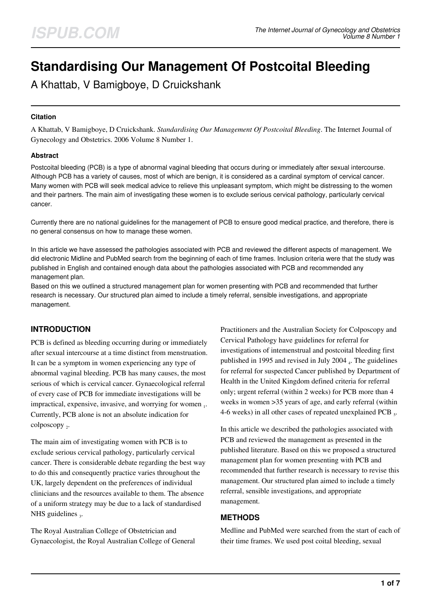# **Standardising Our Management Of Postcoital Bleeding**

A Khattab, V Bamigboye, D Cruickshank

#### **Citation**

A Khattab, V Bamigboye, D Cruickshank. *Standardising Our Management Of Postcoital Bleeding*. The Internet Journal of Gynecology and Obstetrics. 2006 Volume 8 Number 1.

#### **Abstract**

Postcoital bleeding (PCB) is a type of abnormal vaginal bleeding that occurs during or immediately after sexual intercourse. Although PCB has a variety of causes, most of which are benign, it is considered as a cardinal symptom of cervical cancer. Many women with PCB will seek medical advice to relieve this unpleasant symptom, which might be distressing to the women and their partners. The main aim of investigating these women is to exclude serious cervical pathology, particularly cervical cancer.

Currently there are no national guidelines for the management of PCB to ensure good medical practice, and therefore, there is no general consensus on how to manage these women.

In this article we have assessed the pathologies associated with PCB and reviewed the different aspects of management. We did electronic Midline and PubMed search from the beginning of each of time frames. Inclusion criteria were that the study was published in English and contained enough data about the pathologies associated with PCB and recommended any management plan.

Based on this we outlined a structured management plan for women presenting with PCB and recommended that further research is necessary. Our structured plan aimed to include a timely referral, sensible investigations, and appropriate management.

### **INTRODUCTION**

PCB is defined as bleeding occurring during or immediately after sexual intercourse at a time distinct from menstruation. It can be a symptom in women experiencing any type of abnormal vaginal bleeding. PCB has many causes, the most serious of which is cervical cancer. Gynaecological referral of every case of PCB for immediate investigations will be impractical, expensive, invasive, and worrying for women 1. Currently, PCB alone is not an absolute indication for colposcopy<sub>2</sub>.

The main aim of investigating women with PCB is to exclude serious cervical pathology, particularly cervical cancer. There is considerable debate regarding the best way to do this and consequently practice varies throughout the UK, largely dependent on the preferences of individual clinicians and the resources available to them. The absence of a uniform strategy may be due to a lack of standardised NHS guidelines  $_3$ .

The Royal Australian College of Obstetrician and Gynaecologist, the Royal Australian College of General Practitioners and the Australian Society for Colposcopy and Cervical Pathology have guidelines for referral for investigations of intemenstrual and postcoital bleeding first published in 1995 and revised in July 2004  $_4$ . The guidelines for referral for suspected Cancer published by Department of Health in the United Kingdom defined criteria for referral only; urgent referral (within 2 weeks) for PCB more than 4 weeks in women >35 years of age, and early referral (within 4-6 weeks) in all other cases of repeated unexplained PCB  $_5$ .

In this article we described the pathologies associated with PCB and reviewed the management as presented in the published literature. Based on this we proposed a structured management plan for women presenting with PCB and recommended that further research is necessary to revise this management. Our structured plan aimed to include a timely referral, sensible investigations, and appropriate management.

#### **METHODS**

Medline and PubMed were searched from the start of each of their time frames. We used post coital bleeding, sexual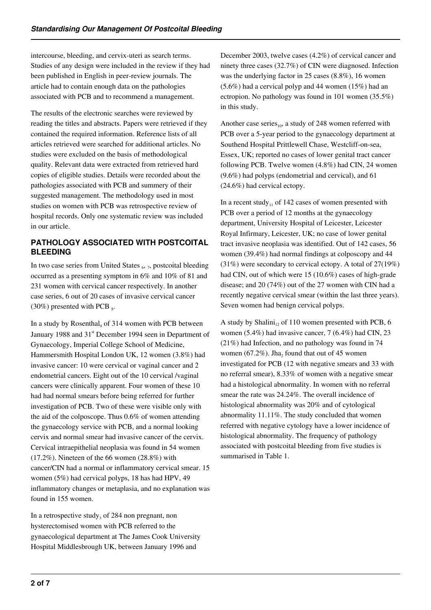intercourse, bleeding, and cervix-uteri as search terms. Studies of any design were included in the review if they had been published in English in peer-review journals. The article had to contain enough data on the pathologies associated with PCB and to recommend a management.

The results of the electronic searches were reviewed by reading the titles and abstracts. Papers were retrieved if they contained the required information. Reference lists of all articles retrieved were searched for additional articles. No studies were excluded on the basis of methodological quality. Relevant data were extracted from retrieved hard copies of eligible studies. Details were recorded about the pathologies associated with PCB and summery of their suggested management. The methodology used in most studies on women with PCB was retrospective review of hospital records. Only one systematic review was included in our article.

## **PATHOLOGY ASSOCIATED WITH POSTCOITAL BLEEDING**

In two case series from United States  $_{6}$ ,  $_{7}$ , postcoital bleeding occurred as a presenting symptom in 6% and 10% of 81 and 231 women with cervical cancer respectively. In another case series, 6 out of 20 cases of invasive cervical cancer  $(30\%)$  presented with PCB  $_8$ .

In a study by Rosenthal, of 314 women with PCB between January 1988 and 31<sup>st</sup> December 1994 seen in Department of Gynaecology, Imperial College School of Medicine, Hammersmith Hospital London UK, 12 women (3.8%) had invasive cancer: 10 were cervical or vaginal cancer and 2 endometrial cancers. Eight out of the 10 cervical /vaginal cancers were clinically apparent. Four women of these 10 had had normal smears before being referred for further investigation of PCB. Two of these were visible only with the aid of the colposcope. Thus 0.6% of women attending the gynaecology service with PCB, and a normal looking cervix and normal smear had invasive cancer of the cervix. Cervical intraepithelial neoplasia was found in 54 women (17.2%). Nineteen of the 66 women (28.8%) with cancer/CIN had a normal or inflammatory cervical smear. 15 women (5%) had cervical polyps, 18 has had HPV, 49 inflammatory changes or metaplasia, and no explanation was found in 155 women.

In a retrospective study<sub>3</sub> of 284 non pregnant, non hysterectomised women with PCB referred to the gynaecological department at The James Cook University Hospital Middlesbrough UK, between January 1996 and

December 2003, twelve cases (4.2%) of cervical cancer and ninety three cases (32.7%) of CIN were diagnosed. Infection was the underlying factor in 25 cases (8.8%), 16 women (5.6%) had a cervical polyp and 44 women (15%) had an ectropion. No pathology was found in 101 women (35.5%) in this study.

Another case series $_{10}$ , a study of 248 women referred with PCB over a 5-year period to the gynaecology department at Southend Hospital Prittlewell Chase, Westcliff-on-sea, Essex, UK; reported no cases of lower genital tract cancer following PCB. Twelve women (4.8%) had CIN, 24 women (9.6%) had polyps (endometrial and cervical), and 61 (24.6%) had cervical ectopy.

In a recent study<sub>11</sub> of 142 cases of women presented with PCB over a period of 12 months at the gynaecology department, University Hospital of Leicester, Leicester Royal Infirmary, Leicester, UK; no case of lower genital tract invasive neoplasia was identified. Out of 142 cases, 56 women (39.4%) had normal findings at colposcopy and 44 (31%) were secondary to cervical ectopy. A total of 27(19%) had CIN, out of which were 15 (10.6%) cases of high-grade disease; and 20 (74%) out of the 27 women with CIN had a recently negative cervical smear (within the last three years). Seven women had benign cervical polyps.

A study by Shalini<sub>12</sub> of 110 women presented with PCB, 6 women (5.4%) had invasive cancer, 7 (6.4%) had CIN, 23 (21%) had Infection, and no pathology was found in 74 women (67.2%). Jha<sub>2</sub> found that out of 45 women investigated for PCB (12 with negative smears and 33 with no referral smear), 8.33% of women with a negative smear had a histological abnormality. In women with no referral smear the rate was 24.24%. The overall incidence of histological abnormality was 20% and of cytological abnormality 11.11%. The study concluded that women referred with negative cytology have a lower incidence of histological abnormality. The frequency of pathology associated with postcoital bleeding from five studies is summarised in Table 1.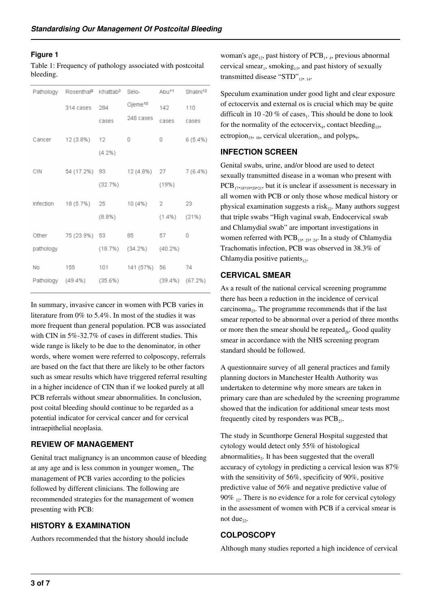#### **Figure 1**

Table 1: Frequency of pathology associated with postcoital bleeding.

|           | Pathology Rosenthal <sup>9</sup> Khattab <sup>3</sup> Selo- |           |                               |                    | Abu <sup>11</sup> Shalini <sup>12</sup> |
|-----------|-------------------------------------------------------------|-----------|-------------------------------|--------------------|-----------------------------------------|
|           | 314 cases                                                   | 284       | Ojeme <sup>10</sup>           | 142                | 110                                     |
|           |                                                             | cases     | 248 cases                     | cases              | cases                                   |
|           | Cancer 12 (3.8%) 12                                         |           | 0                             | 0                  | 6(5.4%)                                 |
|           |                                                             | $(4.2\%)$ |                               |                    |                                         |
| CIN CIN   |                                                             |           | 54 (17.2%) 93 12 (4.8%) 27    |                    | 7(6.4%)                                 |
|           |                                                             | (32.7%)   |                               | (19%)              |                                         |
|           | Infection 18 (5.7%) 25 10 (4%)                              |           |                               | $2 -$              | 23                                      |
|           |                                                             | $(8.8\%)$ |                               | $(1.4\%)$ $(21\%)$ |                                         |
|           | Other 75 (23.9%) 53                                         |           | 85                            | 57 0               |                                         |
| pathology |                                                             |           | $(18.7%)$ $(34.2%)$ $(40.2%)$ |                    |                                         |
|           | No 155 101 141 (57%) 56 74                                  |           |                               |                    |                                         |
|           | Pathology (49.4%) (35.6%)                                   |           | $(39.4\%)$ $(67.2\%)$         |                    |                                         |

In summary, invasive cancer in women with PCB varies in literature from 0% to 5.4%. In most of the studies it was more frequent than general population. PCB was associated with CIN in 5%-32.7% of cases in different studies. This wide range is likely to be due to the denominator, in other words, where women were referred to colposcopy, referrals are based on the fact that there are likely to be other factors such as smear results which have triggered referral resulting in a higher incidence of CIN than if we looked purely at all PCB referrals without smear abnormalities. In conclusion, post coital bleeding should continue to be regarded as a potential indicator for cervical cancer and for cervical intraepithelial neoplasia.

### **REVIEW OF MANAGEMENT**

Genital tract malignancy is an uncommon cause of bleeding at any age and is less common in younger women<sub>4</sub>. The management of PCB varies according to the policies followed by different clinicians. The following are recommended strategies for the management of women presenting with PCB:

### **HISTORY & EXAMINATION**

Authors recommended that the history should include

woman's age<sub>12</sub>, past history of PCB<sub>1</sub>, <sub>4</sub>, previous abnormal cervical smear<sub>1</sub>, smoking<sub>13</sub>, and past history of sexually transmitted disease " $STD$ "<sub>13</sub>, 14.

Speculum examination under good light and clear exposure of ectocervix and external os is crucial which may be quite difficult in 10 -20 % of cases<sub>1</sub>. This should be done to look for the normality of the ectocervix<sub>4</sub>, contact bleeding<sub>15</sub>, ectropion<sub>15</sub>, <sub>16</sub>, cervical ulceration<sub>1</sub>, and polyps<sub>9</sub>.

### **INFECTION SCREEN**

Genital swabs, urine, and/or blood are used to detect sexually transmitted disease in a woman who present with  $PCB_{17,18,19,20,21}$ , but it is unclear if assessment is necessary in all women with PCB or only those whose medical history or physical examination suggests a risk $_{22}$ . Many authors suggest that triple swabs "High vaginal swab, Endocervical swab and Chlamydial swab" are important investigations in women referred with  $PCB_{13}$ ,  $_{23}$ ,  $_{24}$ . In a study of Chlamydia Trachomatis infection, PCB was observed in 38.3% of Chlamydia positive patients $_{12}$ .

### **CERVICAL SMEAR**

As a result of the national cervical screening programme there has been a reduction in the incidence of cervical carcinoma<sub>25</sub>. The programme recommends that if the last smear reported to be abnormal over a period of three months or more then the smear should be repeated. Good quality smear in accordance with the NHS screening program standard should be followed.

A questionnaire survey of all general practices and family planning doctors in Manchester Health Authority was undertaken to determine why more smears are taken in primary care than are scheduled by the screening programme showed that the indication for additional smear tests most frequently cited by responders was  $PCB_{27}$ .

The study in Scunthorpe General Hospital suggested that cytology would detect only 55% of histological abnormalities<sub>2</sub>. It has been suggested that the overall accuracy of cytology in predicting a cervical lesion was 87% with the sensitivity of 56%, specificity of 90%, positive predictive value of 56% and negative predictive value of 90%  $_{12}$ . There is no evidence for a role for cervical cytology in the assessment of women with PCB if a cervical smear is not due $_{22}$ .

### **COLPOSCOPY**

Although many studies reported a high incidence of cervical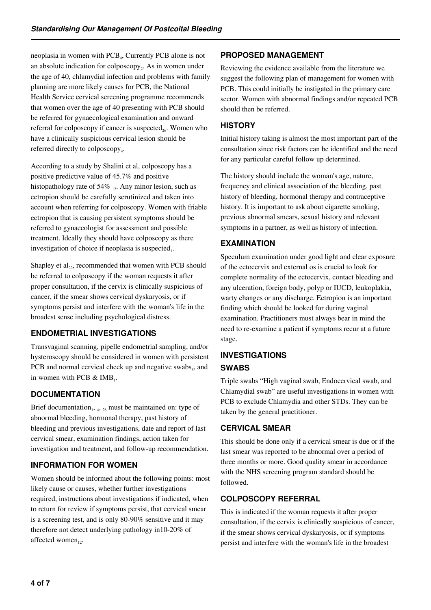neoplasia in women with PCB<sub>4</sub>, Currently PCB alone is not an absolute indication for colposcopy<sub>2</sub>. As in women under the age of 40, chlamydial infection and problems with family planning are more likely causes for PCB, the National Health Service cervical screening programme recommends that women over the age of 40 presenting with PCB should be referred for gynaecological examination and onward referral for colposcopy if cancer is suspected $_{26}$ . Women who have a clinically suspicious cervical lesion should be referred directly to colposcopy<sub>4</sub>.

According to a study by Shalini et al, colposcopy has a positive predictive value of 45.7% and positive histopathology rate of  $54\%$  1. Any minor lesion, such as ectropion should be carefully scrutinized and taken into account when referring for colposcopy. Women with friable ectropion that is causing persistent symptoms should be referred to gynaecologist for assessment and possible treatment. Ideally they should have colposcopy as there investigation of choice if neoplasia is suspected,.

Shapley et  $al_{22}$ , recommended that women with PCB should be referred to colposcopy if the woman requests it after proper consultation, if the cervix is clinically suspicious of cancer, if the smear shows cervical dyskaryosis, or if symptoms persist and interfere with the woman's life in the broadest sense including psychological distress.

## **ENDOMETRIAL INVESTIGATIONS**

Transvaginal scanning, pipelle endometrial sampling, and/or hysteroscopy should be considered in women with persistent PCB and normal cervical check up and negative swabs<sub>3</sub>, and in women with PCB  $\&$  IMB<sub>1</sub>.

# **DOCUMENTATION**

Brief documentation<sub>1</sub>,  $_4$ ,  $_{28}$  must be maintained on: type of abnormal bleeding, hormonal therapy, past history of bleeding and previous investigations, date and report of last cervical smear, examination findings, action taken for investigation and treatment, and follow-up recommendation.

# **INFORMATION FOR WOMEN**

Women should be informed about the following points: most likely cause or causes, whether further investigations required, instructions about investigations if indicated, when to return for review if symptoms persist, that cervical smear is a screening test, and is only 80-90% sensitive and it may therefore not detect underlying pathology in10-20% of affected women<sub>12</sub>.

## **PROPOSED MANAGEMENT**

Reviewing the evidence available from the literature we suggest the following plan of management for women with PCB. This could initially be instigated in the primary care sector. Women with abnormal findings and/or repeated PCB should then be referred.

## **HISTORY**

Initial history taking is almost the most important part of the consultation since risk factors can be identified and the need for any particular careful follow up determined.

The history should include the woman's age, nature, frequency and clinical association of the bleeding, past history of bleeding, hormonal therapy and contraceptive history. It is important to ask about cigarette smoking, previous abnormal smears, sexual history and relevant symptoms in a partner, as well as history of infection.

# **EXAMINATION**

Speculum examination under good light and clear exposure of the ectocervix and external os is crucial to look for complete normality of the ectocervix, contact bleeding and any ulceration, foreign body, polyp or IUCD, leukoplakia, warty changes or any discharge. Ectropion is an important finding which should be looked for during vaginal examination. Practitioners must always bear in mind the need to re-examine a patient if symptoms recur at a future stage.

# **INVESTIGATIONS SWABS**

Triple swabs "High vaginal swab, Endocervical swab, and Chlamydial swab" are useful investigations in women with PCB to exclude Chlamydia and other STDs. They can be taken by the general practitioner.

## **CERVICAL SMEAR**

This should be done only if a cervical smear is due or if the last smear was reported to be abnormal over a period of three months or more. Good quality smear in accordance with the NHS screening program standard should be followed.

## **COLPOSCOPY REFERRAL**

This is indicated if the woman requests it after proper consultation, if the cervix is clinically suspicious of cancer, if the smear shows cervical dyskaryosis, or if symptoms persist and interfere with the woman's life in the broadest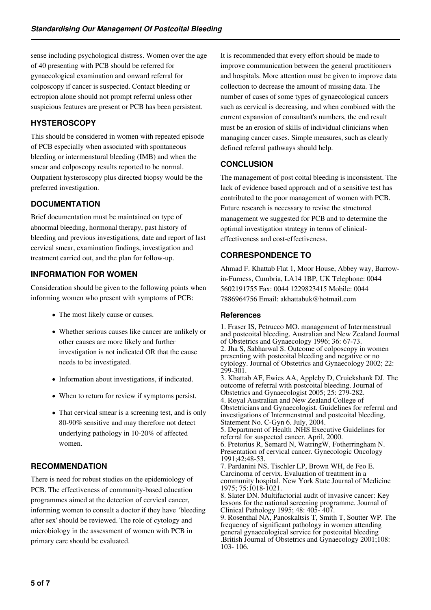sense including psychological distress. Women over the age of 40 presenting with PCB should be referred for gynaecological examination and onward referral for colposcopy if cancer is suspected. Contact bleeding or ectropion alone should not prompt referral unless other suspicious features are present or PCB has been persistent.

# **HYSTEROSCOPY**

This should be considered in women with repeated episode of PCB especially when associated with spontaneous bleeding or intermenstural bleeding (IMB) and when the smear and colposcopy results reported to be normal. Outpatient hysteroscopy plus directed biopsy would be the preferred investigation.

# **DOCUMENTATION**

Brief documentation must be maintained on type of abnormal bleeding, hormonal therapy, past history of bleeding and previous investigations, date and report of last cervical smear, examination findings, investigation and treatment carried out, and the plan for follow-up.

# **INFORMATION FOR WOMEN**

Consideration should be given to the following points when informing women who present with symptoms of PCB:

- The most likely cause or causes.
- Whether serious causes like cancer are unlikely or other causes are more likely and further investigation is not indicated OR that the cause needs to be investigated.
- Information about investigations, if indicated.
- When to return for review if symptoms persist.
- That cervical smear is a screening test, and is only 80-90% sensitive and may therefore not detect underlying pathology in 10-20% of affected women.

# **RECOMMENDATION**

There is need for robust studies on the epidemiology of PCB. The effectiveness of community-based education programmes aimed at the detection of cervical cancer, informing women to consult a doctor if they have 'bleeding after sex' should be reviewed. The role of cytology and microbiology in the assessment of women with PCB in primary care should be evaluated.

It is recommended that every effort should be made to improve communication between the general practitioners and hospitals. More attention must be given to improve data collection to decrease the amount of missing data. The number of cases of some types of gynaecological cancers such as cervical is decreasing, and when combined with the current expansion of consultant's numbers, the end result must be an erosion of skills of individual clinicians when managing cancer cases. Simple measures, such as clearly defined referral pathways should help.

# **CONCLUSION**

The management of post coital bleeding is inconsistent. The lack of evidence based approach and of a sensitive test has contributed to the poor management of women with PCB. Future research is necessary to revise the structured management we suggested for PCB and to determine the optimal investigation strategy in terms of clinicaleffectiveness and cost-effectiveness.

# **CORRESPONDENCE TO**

Ahmad F. Khattab Flat 1, Moor House, Abbey way, Barrowin-Furness, Cumbria, LA14 1BP, UK Telephone: 0044 5602191755 Fax: 0044 1229823415 Mobile: 0044 7886964756 Email: akhattabuk@hotmail.com

### **References**

1. Fraser IS, Petrucco MO. management of Intermenstrual and postcoital bleeding. Australian and New Zealand Journal of Obstetrics and Gynaecology 1996; 36: 67-73. 2. Jha S, Sabharwal S. Outcome of colposcopy in women presenting with postcoital bleeding and negative or no cytology. Journal of Obstetrics and Gynaecology 2002; 22: 299-301. 3. Khattab AF, Ewies AA, Appleby D, Cruickshank DJ. The outcome of referral with postcoital bleeding. Journal of Obstetrics and Gynaecologist 2005; 25: 279-282. 4. Royal Australian and New Zealand College of Obstetricians and Gynaecologist. Guidelines for referral and investigations of Intermenstrual and postcoital bleeding. Statement No. C-Gyn 6. July, 2004. 5. Department of Health .NHS Executive Guidelines for referral for suspected cancer. April, 2000. 6. Pretorius R, Semard N, WatringW, Fotherringham N. Presentation of cervical cancer. Gynecologic Oncology 1991;42:48-53. 7. Pardanini NS, Tischler LP, Brown WH, de Feo E. Carcinoma of cervix. Evaluation of treatment in a community hospital. New York State Journal of Medicine 1975; 75:1018-1021. 8. Slater DN. Multifactorial audit of invasive cancer: Key lessons for the national screening programme. Journal of Clinical Pathology 1995; 48: 405- 407. 9. Rosenthal NA, Panoskaltsis T, Smith T, Soutter WP. The frequency of significant pathology in women attending general gynaecological service for postcoital bleeding .British Journal of Obstetrics and Gynaecology 2001;108: 103- 106.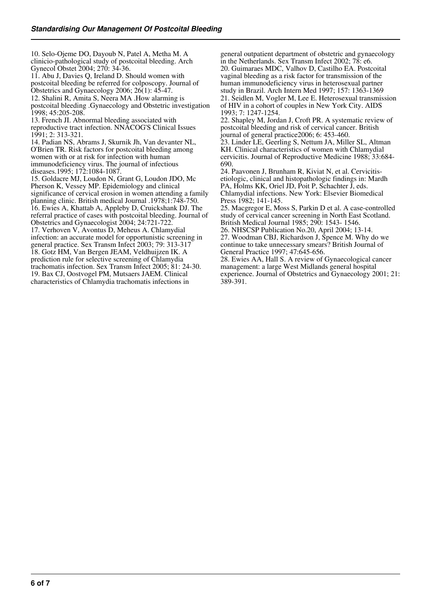10. Selo-Ojeme DO, Dayoub N, Patel A, Metha M. A clinicio-pathological study of postcoital bleeding. Arch Gynecol Obstet 2004; 270: 34-36.

11. Abu J, Davies Q, Ireland D. Should women with postcoital bleeding be referred for colposcopy. Journal of Obstetrics and Gynaecology 2006; 26(1): 45-47.

12. Shalini R, Amita S, Neera MA .How alarming is postcoital bleeding .Gynaecology and Obstetric investigation 1998; 45:205-208.

13. French JI. Abnormal bleeding associated with reproductive tract infection. NNACOG'S Clinical Issues 1991; 2: 313-321.

14. Padian NS, Abrams J, Skurnik Jh, Van devanter NL, O'Brien TR. Risk factors for postcoital bleeding among women with or at risk for infection with human immunodeficiency virus. The journal of infectious diseases.1995; 172:1084-1087.

15. Goldacre MJ, Loudon N, Grant G, Loudon JDO, Mc Pherson K, Vessey MP. Epidemiology and clinical significance of cervical erosion in women attending a family planning clinic. British medical Journal .1978;1:748-750. 16. Ewies A, Khattab A, Appleby D, Cruickshank DJ. The referral practice of cases with postcoital bleeding. Journal of Obstetrics and Gynaecologist 2004; 24:721-722. 17. Verhoven V, Avontus D, Meheus A. Chlamydial infection: an accurate model for opportunistic screening in general practice. Sex Transm Infect 2003; 79: 313-317 18. Gotz HM, Van Bergen JEAM, Veldhuijzen IK. A prediction rule for selective screening of Chlamydia trachomatis infection. Sex Transm Infect 2005; 81: 24-30. 19. Bax CJ, Oostvogel PM, Mutsaers JAEM. Clinical characteristics of Chlamydia trachomatis infections in

general outpatient department of obstetric and gynaecology in the Netherlands. Sex Transm Infect 2002; 78: e6. 20. Guimaraes MDC, Valhov D, Castilho EA. Postcoital vaginal bleeding as a risk factor for transmission of the human immunodeficiency virus in heterosexual partner study in Brazil. Arch Intern Med 1997; 157: 1363-1369 21. Seidlen M, Vogler M, Lee E. Heterosexual transmission of HIV in a cohort of couples in New York City. AIDS 1993; 7: 1247-1254.

22. Shapley M, Jordan J, Croft PR. A systematic review of postcoital bleeding and risk of cervical cancer. British journal of general practice2006; 6: 453-460.

23. Linder LE, Geerling S, Nettum JA, Miller SL, Altman KH. Clinical characteristics of women with Chlamydial cervicitis. Journal of Reproductive Medicine 1988; 33:684- 690.

24. Paavonen J, Brunham R, Kiviat N, et al. Cervicitisetiologic, clinical and histopathologic findings in: Mardh PA, Holms KK, Oriel JD, Poit P, Schachter J, eds. Chlamydial infections. New York: Elsevier Biomedical Press 1982; 141-145.

25. Macgregor E, Moss S, Parkin D et al. A case-controlled study of cervical cancer screening in North East Scotland. British Medical Journal 1985; 290: 1543- 1546.

26. NHSCSP Publication No.20, April 2004; 13-14.

27. Woodman CBJ, Richardson J, Spence M. Why do we continue to take unnecessary smears? British Journal of General Practice 1997; 47:645-656.

28. Ewies AA, Hall S. A review of Gynaecological cancer management: a large West Midlands general hospital experience. Journal of Obstetrics and Gynaecology 2001; 21: 389-391.